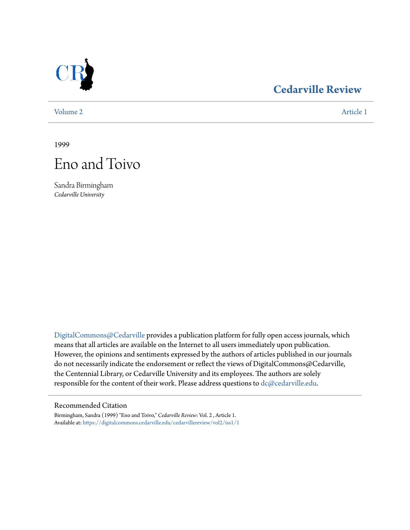

## **[Cedarville Review](https://digitalcommons.cedarville.edu/cedarvillereview?utm_source=digitalcommons.cedarville.edu%2Fcedarvillereview%2Fvol2%2Fiss1%2F1&utm_medium=PDF&utm_campaign=PDFCoverPages)**

[Volume 2](https://digitalcommons.cedarville.edu/cedarvillereview/vol2?utm_source=digitalcommons.cedarville.edu%2Fcedarvillereview%2Fvol2%2Fiss1%2F1&utm_medium=PDF&utm_campaign=PDFCoverPages) [Article 1](https://digitalcommons.cedarville.edu/cedarvillereview/vol2/iss1/1?utm_source=digitalcommons.cedarville.edu%2Fcedarvillereview%2Fvol2%2Fiss1%2F1&utm_medium=PDF&utm_campaign=PDFCoverPages)

1999



Sandra Birmingham *Cedarville University*

[DigitalCommons@Cedarville](http://digitalcommons.cedarville.edu) provides a publication platform for fully open access journals, which means that all articles are available on the Internet to all users immediately upon publication. However, the opinions and sentiments expressed by the authors of articles published in our journals do not necessarily indicate the endorsement or reflect the views of DigitalCommons@Cedarville, the Centennial Library, or Cedarville University and its employees. The authors are solely responsible for the content of their work. Please address questions to [dc@cedarville.edu](mailto:dc@cedarville.edu).

## Recommended Citation

Birmingham, Sandra (1999) "Eno and Toivo," *Cedarville Review*: Vol. 2 , Article 1. Available at: [https://digitalcommons.cedarville.edu/cedarvillereview/vol2/iss1/1](https://digitalcommons.cedarville.edu/cedarvillereview/vol2/iss1/1?utm_source=digitalcommons.cedarville.edu%2Fcedarvillereview%2Fvol2%2Fiss1%2F1&utm_medium=PDF&utm_campaign=PDFCoverPages)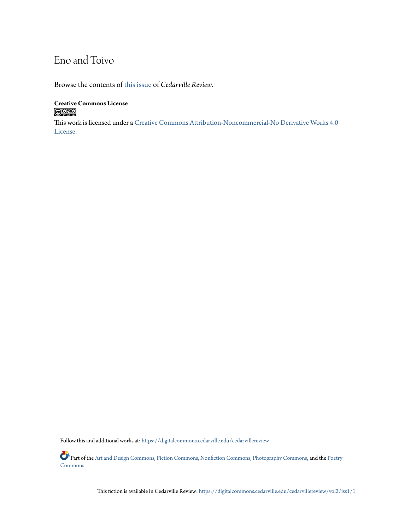## Eno and Toivo

Browse the contents of [this issue](https://digitalcommons.cedarville.edu/cedarvillereview/vol2/iss1) of *Cedarville Review*.

**Creative Commons License**  $\bigcirc$   $\circ$ 

This work is licensed under a [Creative Commons Attribution-Noncommercial-No Derivative Works 4.0](http://creativecommons.org/licenses/by-nc-nd/4.0/) [License.](http://creativecommons.org/licenses/by-nc-nd/4.0/)

Follow this and additional works at: [https://digitalcommons.cedarville.edu/cedarvillereview](https://digitalcommons.cedarville.edu/cedarvillereview?utm_source=digitalcommons.cedarville.edu%2Fcedarvillereview%2Fvol2%2Fiss1%2F1&utm_medium=PDF&utm_campaign=PDFCoverPages)

Part of the [Art and Design Commons,](http://network.bepress.com/hgg/discipline/1049?utm_source=digitalcommons.cedarville.edu%2Fcedarvillereview%2Fvol2%2Fiss1%2F1&utm_medium=PDF&utm_campaign=PDFCoverPages) [Fiction Commons,](http://network.bepress.com/hgg/discipline/1151?utm_source=digitalcommons.cedarville.edu%2Fcedarvillereview%2Fvol2%2Fiss1%2F1&utm_medium=PDF&utm_campaign=PDFCoverPages) [Nonfiction Commons,](http://network.bepress.com/hgg/discipline/1152?utm_source=digitalcommons.cedarville.edu%2Fcedarvillereview%2Fvol2%2Fiss1%2F1&utm_medium=PDF&utm_campaign=PDFCoverPages) [Photography Commons,](http://network.bepress.com/hgg/discipline/1142?utm_source=digitalcommons.cedarville.edu%2Fcedarvillereview%2Fvol2%2Fiss1%2F1&utm_medium=PDF&utm_campaign=PDFCoverPages) and the [Poetry](http://network.bepress.com/hgg/discipline/1153?utm_source=digitalcommons.cedarville.edu%2Fcedarvillereview%2Fvol2%2Fiss1%2F1&utm_medium=PDF&utm_campaign=PDFCoverPages) **[Commons](http://network.bepress.com/hgg/discipline/1153?utm_source=digitalcommons.cedarville.edu%2Fcedarvillereview%2Fvol2%2Fiss1%2F1&utm_medium=PDF&utm_campaign=PDFCoverPages)** 

This fiction is available in Cedarville Review: [https://digitalcommons.cedarville.edu/cedarvillereview/vol2/iss1/1](https://digitalcommons.cedarville.edu/cedarvillereview/vol2/iss1/1?utm_source=digitalcommons.cedarville.edu%2Fcedarvillereview%2Fvol2%2Fiss1%2F1&utm_medium=PDF&utm_campaign=PDFCoverPages)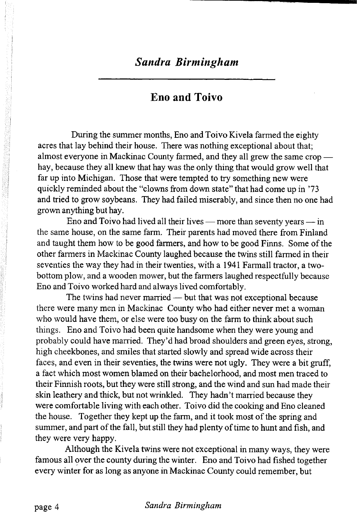## **Eno and Toivo**

During the summer months, Eno and Toivo Kivela farmed the eighty acres that lay behind their house. There was nothing exceptional about that; almost everyone in Mackinac County farmed, and they all grew the same crop hay, because they all knew that hay was the only thing that would grow well that far up into Michigan. Those that were tempted to try something new were quickly reminded about the "clowns from down state" that had come up in '73 and tried to grow soybeans. They had failed miserably, and since then no one had grown anything but hay.

Eno and Toivo had lived all their lives — more than seventy years — in the same house, on the same farm. Their parents had moved there from Finland and taught them how to be good farmers, and how to be good Finns. Some of the other farmers in Mackinac County laughed because the twins still farmed in their seventies the way they had in their twenties, with a 1941 Farmall tractor, a twobottom plow, and a wooden mower, but the farmers laughed respectfully because Eno and Toivo worked hard and always lived comfortably.

The twins had never married — but that was not exceptional because there were many men in Mackinac County who had either never met a woman who would have them, or else were too busy on the farm to think about such things. Eno and Toivo had been quite handsome when they were young and probably could have married. They'd had broad shoulders and green eyes, strong, high cheekbones, and smiles that started slowly and spread wide across their faces, and even in their seventies, the twins were not ugly. They were a bit gruff, a fact which most women blamed on their bachelorhood, and most men traced to their Finnish roots, but they were still strong, and the wind and sun had made their skin leathery and thick, but not wrinkled. They hadn 't married because they were comfortable living with each other. Toivo did the cooking and Eno cleaned the house. Together they kept up the farm, and it took most of the spring and summer, and part of the fall, but still they had plenty of time to hunt and fish, and they were very happy.

Although the Kivela twins were not exceptional in many ways, they were famous all over the county during the winter. Eno and Toivo had fished together every winter for as long as anyone in Mackinac County could remember, but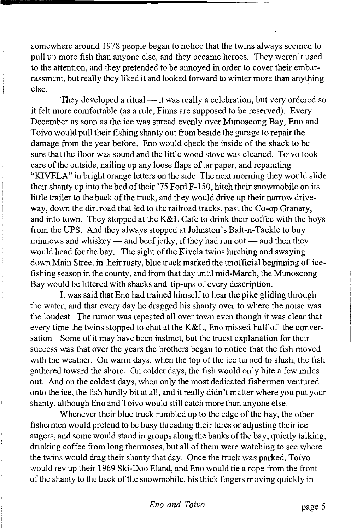somewhere around 1978 people began to notice that the twins always seemed to pull up more fish than anyone else, and they became heroes. They weren't used to the attention, and they pretended to be annoyed in order to cover their embarrassment, but really they liked it and looked forward to winter more than anything else.

They developed a ritual — it was really a celebration, but very ordered so it felt more comfortable (as a rule, Finns are supposed to be reserved). Every December as soon as the ice was spread evenly over Munoscong Bay, Eno and Toivo would pull their fishing shanty out from beside the garage to repair the damage from the year before. Eno would check the inside of the shack to be sure that the floor was sound and the little wood stove was cleaned. Toivo took care of the outside, nailing up any loose flaps of tar paper, and repainting "KIVELA" in bright orange letters on the side. The next morning they would slide their shanty up into the bed of their '75 Ford F-150, hitch their snowmobile on its little trailer to the back of the truck, and they would drive up their narrow driveway, down the dirt road that led to the railroad tracks, past the Co-op Granary, and into town. They stopped at the K&L Cafe to drink their coffee with the boys from the UPS. And they always stopped at Johnston's Bait-n-Tackle to buy minnows and whiskey — and beef jerky, if they had run out — and then they would head for the bay. The sight of the Kivela twins lurching and swaying down Main Street in their rusty, blue truck marked the unofficial beginning of icefishing season in the county, and from that day until mid-March, the Munoscong Bay would be littered with shacks and tip-ups of every description.

It was said that Eno had trained himself to hear the pike gliding through the water, and that every day he dragged his shanty over to where the noise was the loudest. The rumor was repeated all over town even though it was clear that every time the twins stopped to chat at the K&L, Eno missed half of the conversation. Some of it may have been instinct, but the truest explanation for their success was that over the years the brothers began to notice that the fish moved with the weather. On warm days, when the top of the ice turned to slush, the fish gathered toward the shore. On colder days, the fish would only bite a few miles out. And on the coldest days, when only the most dedicated fishermen ventured onto the ice, the fish hardly bit at all, and it really didn't matter where you put your shanty, although Eno and Toivo would still catch more than anyone else.

Whenever their blue truck rumbled up to the edge of the bay, the other fishermen would pretend to be busy threading their lures or adjusting their ice augers, and some would stand in groups along the banks of the bay, quietly talking, drinking coffee from long thermoses, but all of them were watching to see where the twins would drag their shanty that day. Once the truck was parked, Toivo would rev up their 1969 Ski-Doo Eland, and Eno would tie a rope from the front of the shanty to the back of the snowmobile, his thick fingers moving quickly in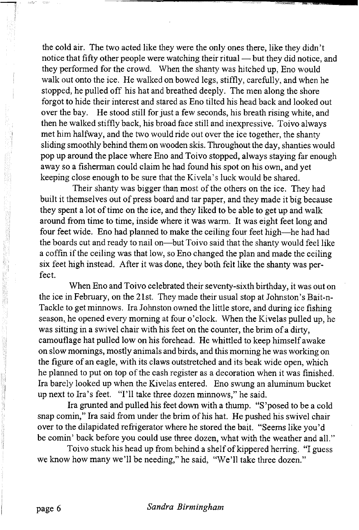the cold air. The two acted like they were the only ones there, like they didn't notice that fifty other people were watching their ritual — but they did notice, and they performed for the crowd. When the shanty was hitched up, Eno would walk out onto the ice. He walked on bowed legs, stiffly, carefully, and when he stopped, he pulled off his hat and breathed deeply. The men along the shore forgot to hide their interest and stared as Eno tilted his head back and looked out over the bay. He stood still for just a few seconds, his breath rising white, and then he walked stiffly back, his broad face still and inexpressive. Toivo always met him halfway, and the two would ride out over the ice together, the shanty sliding smoothly behind them on wooden skis. Throughout the day, shanties would pop up around the place where Eno and Toivo stopped, always staying far enough away so a fisherman could claim he had found his spot on his own, and yet keeping close enough to be sure that the Kivela's luck would be shared.

Their shanty was bigger than most of the others on the ice. They had built it themselves out of press board and tar paper, and they made it big because they spent a lot of time on the ice, and they liked to be able to get up and walk around from time to time, inside where it was warm. It was eight feet long and four feet wide. Eno had planned to make the ceiling four feet high—he had had the boards cut and ready to nail on—but Toivo said that the shanty would feel like a coffin if the ceiling was that low, so Eno changed the plan and made the ceiling six feet high instead. After it was done, they both felt like the shanty was perfect.

When Eno and Toivo celebrated their seventy-sixth birthday, it was out on the ice in February, on the 21st. They made their usual stop at Johnston's Bait-n-Tackle to get minnows. Ira Johnston owned the little store, and during ice fishing season,, he opened every morning at four o'clock. When the Kivelas pulled up, he was sitting in a swivel chair with his feet on the counter, the brim of a dirty, camouflage hat pulled low on his forehead. He whittled to keep himself awake on slow mornings, mostly animals and birds, and this morning he was working on the figure of an eagle, with its claws outstretched and its beak wide open, which he planned to put on top of the cash register as a decoration when it was finished. Ira barely looked up when the Kivelas entered. Eno swung an aluminum bucket up next to Ira's feet. "I'll take three dozen minnows," he said.

Ira grunted and pulled his feet down with a thump. "S 'posed to be a cold snap comin," Ira said from under the brim of his hat. He pushed his swivel chair over to the dilapidated refrigerator where he stored the bait. "Seems like you'd be comin' back before you could use three dozen, what with the weather and all."

Toivo stuck his head up from behind a shelf of kippered herring. "I guess we know how many we'll be needing," he said, "We'll take three dozen."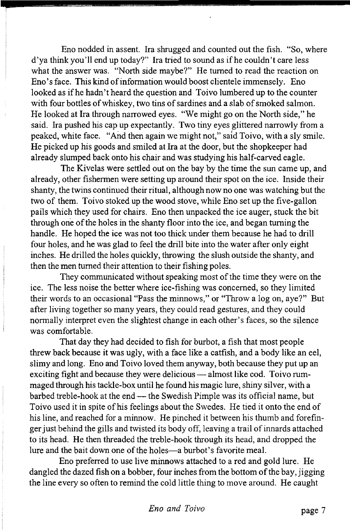Eno nodded in assent. Ira shrugged and counted out the fish. "So, where d'ya think you'll end up today?" Ira tried to sound as if he couldn't care less what the answer was. "North side maybe?" He turned to read the reaction on Eno's face. This kind of information would boost clientele immensely. Eno looked as if he hadn't heard the question and Toivo lumbered up to the counter with four bottles of whiskey, two tins of sardines and a slab of smoked salmon. He looked at Ira through narrowed eyes. "We might go on the North side," he said. Ira pushed his cap up expectantly. Two tiny eyes glittered narrowly from a peaked, white face. "And then again we might not," said Toivo, with a sly smile. He picked up his goods and smiled at Ira at the door, but the shopkeeper had already slumped back onto his chair and was studying his half-carved eagle.

The Kivelas were settled out on the bay by the time the sun came up, and already, other fishermen were setting up around their spot on the ice. Inside their shanty, the twins continued their ritual, although now no one was watching but the two of them. Toivo stoked up the wood stove, while Eno set up the five-gallon pails which they used for chairs. Eno then unpacked the ice auger, stuck the bit through one of the holes in the shanty floor into the ice, and began turning the handle. He hoped the ice was not too thick under them because he had to drill four holes, and he was glad to feel the drill bite into the water after only eight inches. He drilled the holes quickly, throwing the slush outside the shanty, and then the men turned their attention to their fishing poles.

They communicated without speaking most of the time they were on the ice. The less noise the better where ice-fishing was concerned, so they limited their words to an occasional "Pass the minnows," or "Throw a log on, aye?" But after living together so many years, they could read gestures, and they could normally interpret even the slightest change in each other's faces, so the silence was comfortable.

That day they had decided to fish for burbot, a fish that most people threw back because it was ugly, with a face like a catfish, and a body like an eel, slimy and long. Eno and Toivo loved them anyway, both because they put up an exciting fight and because they were delicious — almost like cod. Toivo rummaged through his tackle-box until he found his magic lure, shiny silver, with a barbed treble-hook at the end — the Swedish Pimple was its official name, but Toivo used it in spite of his feelings about the Swedes. He tied it onto the end of his line, and reached for a minnow. He pinched it between his thumb and forefinger just behind the gills and twisted its body off, leaving a trail of innards attached to its head. He then threaded the treble-hook through its head, and dropped the lure and the bait down one of the holes—a burbot's favorite meal.

Eno preferred to use live minnows attached to a red and gold lure. He dangled the dazed fish on a bobber, four inches from the bottom of the bay, jigging the line every so often to remind the cold little thing to move around. He caught